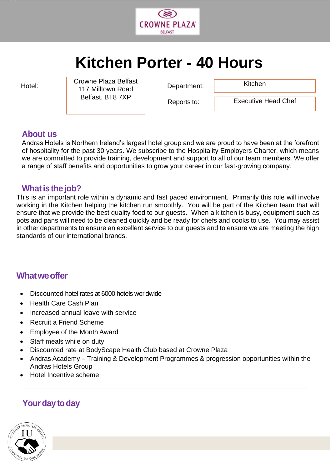

# **Kitchen Porter - 40 Hours**

jjjjjj

Hotel: Clownon Recaperation Department: Crowne Plaza Belfast Department: Kitchen 117 Milltown Road Belfast, BT8 7XP

Reports to:

Executive Head Chef

## **About us**

Andras Hotels is Northern Ireland's largest hotel group and we are proud to have been at the forefront of hospitality for the past 30 years. We subscribe to the Hospitality Employers Charter, which means we are committed to provide training, development and support to all of our team members. We offer a range of staff benefits and opportunities to grow your career in our fast-growing company.

## **What is the job?**

This is an important role within a dynamic and fast paced environment. Primarily this role will involve working in the Kitchen helping the kitchen run smoothly. You will be part of the Kitchen team that will ensure that we provide the best quality food to our guests. When a kitchen is busy, equipment such as pots and pans will need to be cleaned quickly and be ready for chefs and cooks to use. You may assist in other departments to ensure an excellent service to our guests and to ensure we are meeting the high standards of our international brands.

## **Whatweoffer**

- Discounted hotel rates at 6000 hotels worldwide
- Health Care Cash Plan
- Increased annual leave with service
- Recruit a Friend Scheme
- Employee of the Month Award
- Staff meals while on duty
- Discounted rate at BodyScape Health Club based at Crowne Plaza
- Andras Academy Training & Development Programmes & progression opportunities within the Andras Hotels Group
- Hotel Incentive scheme.

# **Your day to day**

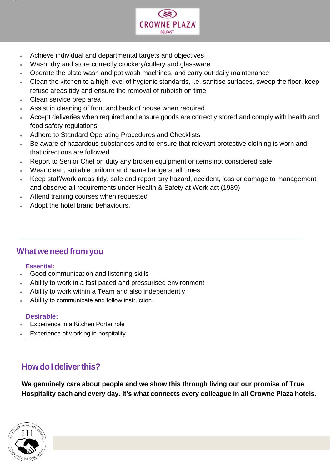

- Achieve individual and departmental targets and objectives
- Wash, dry and store correctly crockery/cutlery and glassware
- Operate the plate wash and pot wash machines, and carry out daily maintenance
- Clean the kitchen to a high level of hygienic standards, i.e. sanitise surfaces, sweep the floor, keep refuse areas tidy and ensure the removal of rubbish on time
- Clean service prep area

jjjjjj

- Assist in cleaning of front and back of house when required
- Accept deliveries when required and ensure goods are correctly stored and comply with health and food safety regulations
- Adhere to Standard Operating Procedures and Checklists
- Be aware of hazardous substances and to ensure that relevant protective clothing is worn and that directions are followed
- Report to Senior Chef on duty any broken equipment or items not considered safe
- Wear clean, suitable uniform and name badge at all times
- Keep staff/work areas tidy, safe and report any hazard, accident, loss or damage to management and observe all requirements under Health & Safety at Work act (1989)
- Attend training courses when requested
- Adopt the hotel brand behaviours.

## **Whatweneedfrom you**

#### **Essential:**

- Good communication and listening skills
- Ability to work in a fast paced and pressurised environment
- Ability to work within a Team and also independently
- Ability to communicate and follow instruction.

#### **Desirable:**

- Experience in a Kitchen Porter role
- Experience of working in hospitality

# **How do I deliver this?**

**We genuinely care about people and we show this through living out our promise of True Hospitality each and every day. It's what connects every colleague in all Crowne Plaza hotels.**